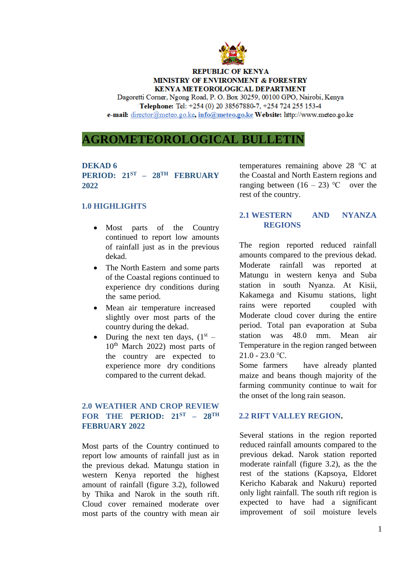

#### **REPUBLIC OF KENYA MINISTRY OF ENVIRONMENT & FORESTRY KENYA METEOROLOGICAL DEPARTMENT**

Dagoretti Corner, Ngong Road, P. O. Box 30259, 00100 GPO, Nairobi, Kenya Telephone: Tel: +254 (0) 20 38567880-7, +254 724 255 153-4 e-mail: director@meteo.go.ke, info@meteo.go.ke Website: http://www.meteo.go.ke

# **AGROMETEOROLOGICAL BULLETIN**

#### **DEKAD 6**

**PERIOD: 21 ST – 28 TH FEBRUARY 2022**

#### **1.0 HIGHLIGHTS**

- Most parts of the Country continued to report low amounts of rainfall just as in the previous dekad.
- The North Eastern and some parts of the Coastal regions continued to experience dry conditions during the same period.
- Mean air temperature increased slightly over most parts of the country during the dekad.
- During the next ten days,  $(1<sup>st</sup> –$  $10<sup>th</sup>$  March 2022) most parts of the country are expected to experience more dry conditions compared to the current dekad.

## **2.0 WEATHER AND CROP REVIEW FOR THE PERIOD: 21ST – 28TH FEBRUARY 2022**

Most parts of the Country continued to report low amounts of rainfall just as in the previous dekad. Matungu station in western Kenya reported the highest amount of rainfall (figure 3.2), followed by Thika and Narok in the south rift. Cloud cover remained moderate over most parts of the country with mean air temperatures remaining above 28 ℃ at the Coastal and North Eastern regions and ranging between  $(16 - 23)$  °C over the rest of the country.

## **2.1 WESTERN AND NYANZA REGIONS**

The region reported reduced rainfall amounts compared to the previous dekad. Moderate rainfall was reported at Matungu in western kenya and Suba station in south Nyanza. At Kisii, Kakamega and Kisumu stations, light rains were reported coupled with Moderate cloud cover during the entire period. Total pan evaporation at Suba station was 48.0 mm. Mean air Temperature in the region ranged between  $21.0 - 23.0$  °C.

Some farmers have already planted maize and beans though majority of the farming community continue to wait for the onset of the long rain season.

## **2.2 RIFT VALLEY REGION.**

Several stations in the region reported reduced rainfall amounts compared to the previous dekad. Narok station reported moderate rainfall (figure 3.2), as the the rest of the stations (Kapsoya, Eldoret Kericho Kabarak and Nakuru) reported only light rainfall. The south rift region is expected to have had a significant improvement of soil moisture levels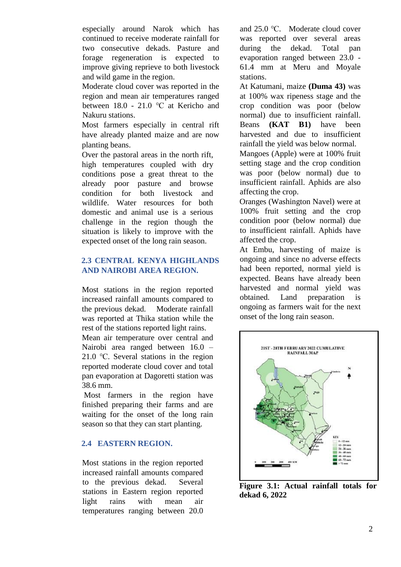especially around Narok which has continued to receive moderate rainfall for two consecutive dekads. Pasture and forage regeneration is expected to improve giving reprieve to both livestock and wild game in the region.

Moderate cloud cover was reported in the region and mean air temperatures ranged between 18.0 - 21.0 ℃ at Kericho and Nakuru stations.

Most farmers especially in central rift have already planted maize and are now planting beans.

Over the pastoral areas in the north rift, high temperatures coupled with dry conditions pose a great threat to the already poor pasture and browse condition for both livestock and wildlife. Water resources for both domestic and animal use is a serious challenge in the region though the situation is likely to improve with the expected onset of the long rain season.

# **2.3 CENTRAL KENYA HIGHLANDS AND NAIROBI AREA REGION.**

Most stations in the region reported increased rainfall amounts compared to the previous dekad. Moderate rainfall was reported at Thika station while the rest of the stations reported light rains. Mean air temperature over central and Nairobi area ranged between 16.0 – 21.0 ℃. Several stations in the region reported moderate cloud cover and total pan evaporation at Dagoretti station was 38.6 mm.

Most farmers in the region have finished preparing their farms and are waiting for the onset of the long rain season so that they can start planting.

## **2.4 EASTERN REGION.**

Most stations in the region reported increased rainfall amounts compared to the previous dekad. Several stations in Eastern region reported light rains with mean air temperatures ranging between 20.0

and 25.0 ℃. Moderate cloud cover was reported over several areas during the dekad. Total pan evaporation ranged between 23.0 - 61.4 mm at Meru and Moyale stations.

At Katumani, maize **(Duma 43)** was at 100% wax ripeness stage and the crop condition was poor (below normal) due to insufficient rainfall. Beans **(KAT B1)** have been harvested and due to insufficient rainfall the yield was below normal.

Mangoes (Apple) were at 100% fruit setting stage and the crop condition was poor (below normal) due to insufficient rainfall. Aphids are also affecting the crop.

Oranges (Washington Navel) were at 100% fruit setting and the crop condition poor (below normal) due to insufficient rainfall. Aphids have affected the crop.

At Embu, harvesting of maize is ongoing and since no adverse effects had been reported, normal yield is expected. Beans have already been harvested and normal yield was obtained. Land preparation is ongoing as farmers wait for the next onset of the long rain season.



**Figure 3.1: Actual rainfall totals for dekad 6, 2022**